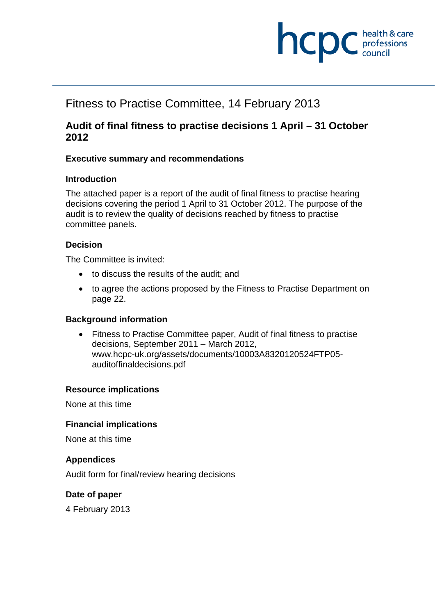

## Fitness to Practise Committee, 14 February 2013

#### **Audit of final fitness to practise decisions 1 April – 31 October 2012**

#### **Executive summary and recommendations**

#### **Introduction**

The attached paper is a report of the audit of final fitness to practise hearing decisions covering the period 1 April to 31 October 2012. The purpose of the audit is to review the quality of decisions reached by fitness to practise committee panels.

#### **Decision**

The Committee is invited:

- to discuss the results of the audit; and
- to agree the actions proposed by the Fitness to Practise Department on page 22.

#### **Background information**

• Fitness to Practise Committee paper, Audit of final fitness to practise decisions, September 2011 – March 2012, www.hcpc-uk.org/assets/documents/10003A8320120524FTP05 auditoffinaldecisions.pdf

#### **Resource implications**

None at this time

#### **Financial implications**

None at this time

#### **Appendices**

Audit form for final/review hearing decisions

#### **Date of paper**

4 February 2013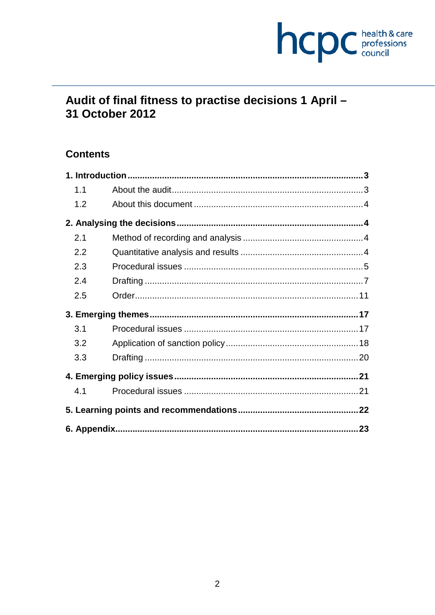# hcpc health & care

## Audit of final fitness to practise decisions 1 April -31 October 2012

## **Contents**

| 1.1 |  |
|-----|--|
| 1.2 |  |
|     |  |
| 2.1 |  |
| 2.2 |  |
| 2.3 |  |
| 2.4 |  |
| 2.5 |  |
|     |  |
| 3.1 |  |
| 3.2 |  |
| 3.3 |  |
|     |  |
| 4.1 |  |
|     |  |
|     |  |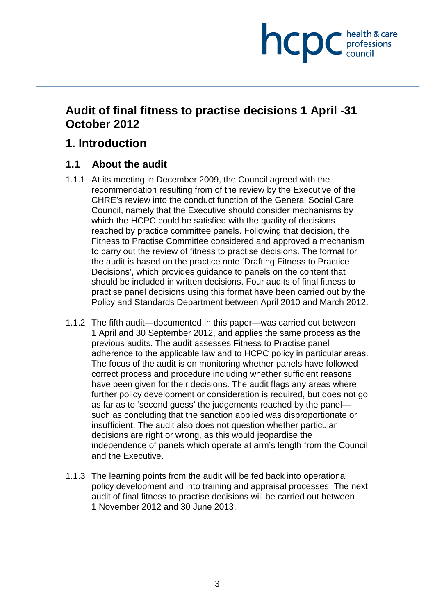## **NCDC** health & care

## **Audit of final fitness to practise decisions 1 April -31 October 2012**

## **1. Introduction**

#### **1.1 About the audit**

- 1.1.1 At its meeting in December 2009, the Council agreed with the recommendation resulting from of the review by the Executive of the CHRE's review into the conduct function of the General Social Care Council, namely that the Executive should consider mechanisms by which the HCPC could be satisfied with the quality of decisions reached by practice committee panels. Following that decision, the Fitness to Practise Committee considered and approved a mechanism to carry out the review of fitness to practise decisions. The format for the audit is based on the practice note 'Drafting Fitness to Practice Decisions', which provides guidance to panels on the content that should be included in written decisions. Four audits of final fitness to practise panel decisions using this format have been carried out by the Policy and Standards Department between April 2010 and March 2012.
- 1.1.2 The fifth audit—documented in this paper—was carried out between 1 April and 30 September 2012, and applies the same process as the previous audits. The audit assesses Fitness to Practise panel adherence to the applicable law and to HCPC policy in particular areas. The focus of the audit is on monitoring whether panels have followed correct process and procedure including whether sufficient reasons have been given for their decisions. The audit flags any areas where further policy development or consideration is required, but does not go as far as to 'second guess' the judgements reached by the panel such as concluding that the sanction applied was disproportionate or insufficient. The audit also does not question whether particular decisions are right or wrong, as this would jeopardise the independence of panels which operate at arm's length from the Council and the Executive.
- 1.1.3 The learning points from the audit will be fed back into operational policy development and into training and appraisal processes. The next audit of final fitness to practise decisions will be carried out between 1 November 2012 and 30 June 2013.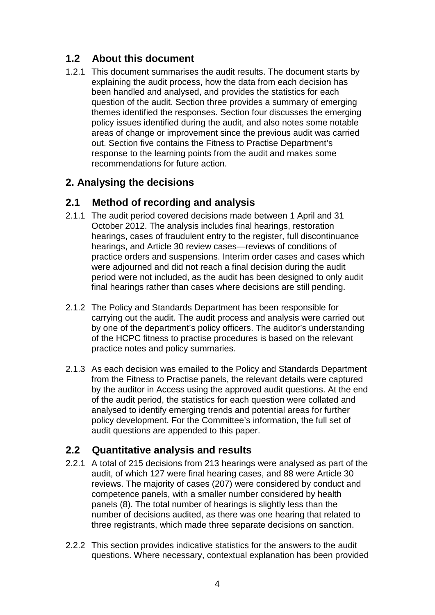## **1.2 About this document**

1.2.1 This document summarises the audit results. The document starts by explaining the audit process, how the data from each decision has been handled and analysed, and provides the statistics for each question of the audit. Section three provides a summary of emerging themes identified the responses. Section four discusses the emerging policy issues identified during the audit, and also notes some notable areas of change or improvement since the previous audit was carried out. Section five contains the Fitness to Practise Department's response to the learning points from the audit and makes some recommendations for future action.

## **2. Analysing the decisions**

## **2.1 Method of recording and analysis**

- 2.1.1 The audit period covered decisions made between 1 April and 31 October 2012. The analysis includes final hearings, restoration hearings, cases of fraudulent entry to the register, full discontinuance hearings, and Article 30 review cases—reviews of conditions of practice orders and suspensions. Interim order cases and cases which were adjourned and did not reach a final decision during the audit period were not included, as the audit has been designed to only audit final hearings rather than cases where decisions are still pending.
- 2.1.2 The Policy and Standards Department has been responsible for carrying out the audit. The audit process and analysis were carried out by one of the department's policy officers. The auditor's understanding of the HCPC fitness to practise procedures is based on the relevant practice notes and policy summaries.
- 2.1.3 As each decision was emailed to the Policy and Standards Department from the Fitness to Practise panels, the relevant details were captured by the auditor in Access using the approved audit questions. At the end of the audit period, the statistics for each question were collated and analysed to identify emerging trends and potential areas for further policy development. For the Committee's information, the full set of audit questions are appended to this paper.

## **2.2 Quantitative analysis and results**

- 2.2.1 A total of 215 decisions from 213 hearings were analysed as part of the audit, of which 127 were final hearing cases, and 88 were Article 30 reviews. The majority of cases (207) were considered by conduct and competence panels, with a smaller number considered by health panels (8). The total number of hearings is slightly less than the number of decisions audited, as there was one hearing that related to three registrants, which made three separate decisions on sanction.
- 2.2.2 This section provides indicative statistics for the answers to the audit questions. Where necessary, contextual explanation has been provided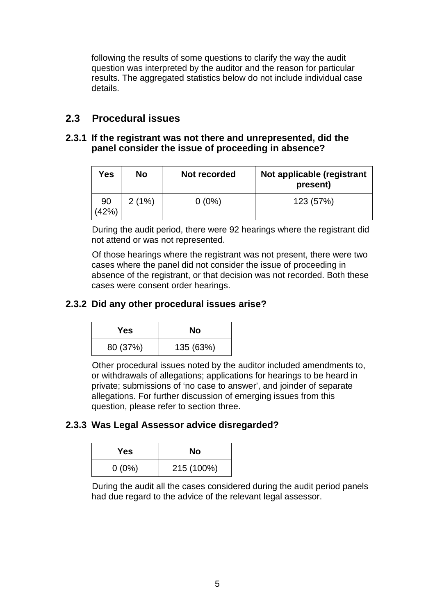following the results of some questions to clarify the way the audit question was interpreted by the auditor and the reason for particular results. The aggregated statistics below do not include individual case details.

### **2.3 Procedural issues**

#### **2.3.1 If the registrant was not there and unrepresented, did the panel consider the issue of proceeding in absence?**

| Yes         | <b>No</b> | Not recorded | Not applicable (registrant<br>present) |
|-------------|-----------|--------------|----------------------------------------|
| 90<br>(42%) | 2(1%)     | $0(0\%)$     | 123 (57%)                              |

During the audit period, there were 92 hearings where the registrant did not attend or was not represented.

Of those hearings where the registrant was not present, there were two cases where the panel did not consider the issue of proceeding in absence of the registrant, or that decision was not recorded. Both these cases were consent order hearings.

#### **2.3.2 Did any other procedural issues arise?**

| Yes      | Nο        |
|----------|-----------|
| 80 (37%) | 135 (63%) |

Other procedural issues noted by the auditor included amendments to, or withdrawals of allegations; applications for hearings to be heard in private; submissions of 'no case to answer', and joinder of separate allegations. For further discussion of emerging issues from this question, please refer to section three.

#### **2.3.3 Was Legal Assessor advice disregarded?**

| Yes      | Nο         |
|----------|------------|
| $0(0\%)$ | 215 (100%) |

During the audit all the cases considered during the audit period panels had due regard to the advice of the relevant legal assessor.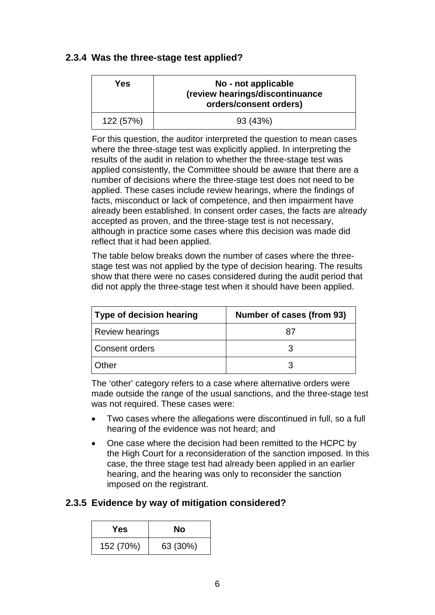#### **2.3.4 Was the three-stage test applied?**

| Yes       | No - not applicable<br>(review hearings/discontinuance<br>orders/consent orders) |
|-----------|----------------------------------------------------------------------------------|
| 122 (57%) | 93 (43%)                                                                         |

For this question, the auditor interpreted the question to mean cases where the three-stage test was explicitly applied. In interpreting the results of the audit in relation to whether the three-stage test was applied consistently, the Committee should be aware that there are a number of decisions where the three-stage test does not need to be applied. These cases include review hearings, where the findings of facts, misconduct or lack of competence, and then impairment have already been established. In consent order cases, the facts are already accepted as proven, and the three-stage test is not necessary, although in practice some cases where this decision was made did reflect that it had been applied.

The table below breaks down the number of cases where the threestage test was not applied by the type of decision hearing. The results show that there were no cases considered during the audit period that did not apply the three-stage test when it should have been applied.

| <b>Type of decision hearing</b> | Number of cases (from 93) |
|---------------------------------|---------------------------|
| <b>Review hearings</b>          | 87                        |
| Consent orders                  |                           |
| Other                           |                           |

The 'other' category refers to a case where alternative orders were made outside the range of the usual sanctions, and the three-stage test was not required. These cases were:

- Two cases where the allegations were discontinued in full, so a full hearing of the evidence was not heard; and
- One case where the decision had been remitted to the HCPC by the High Court for a reconsideration of the sanction imposed. In this case, the three stage test had already been applied in an earlier hearing, and the hearing was only to reconsider the sanction imposed on the registrant.

## **2.3.5 Evidence by way of mitigation considered?**

| Yes       | No       |
|-----------|----------|
| 152 (70%) | 63 (30%) |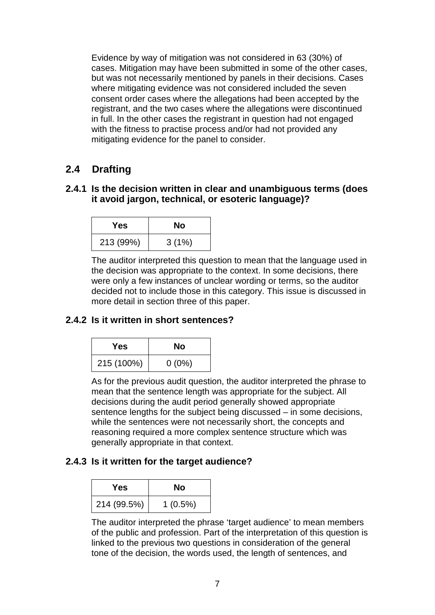Evidence by way of mitigation was not considered in 63 (30%) of cases. Mitigation may have been submitted in some of the other cases, but was not necessarily mentioned by panels in their decisions. Cases where mitigating evidence was not considered included the seven consent order cases where the allegations had been accepted by the registrant, and the two cases where the allegations were discontinued in full. In the other cases the registrant in question had not engaged with the fitness to practise process and/or had not provided any mitigating evidence for the panel to consider.

## **2.4 Drafting**

#### **2.4.1 Is the decision written in clear and unambiguous terms (does it avoid jargon, technical, or esoteric language)?**

| Yes       | Nο    |
|-----------|-------|
| 213 (99%) | 3(1%) |

The auditor interpreted this question to mean that the language used in the decision was appropriate to the context. In some decisions, there were only a few instances of unclear wording or terms, so the auditor decided not to include those in this category. This issue is discussed in more detail in section three of this paper.

#### **2.4.2 Is it written in short sentences?**

| Yes.       | No       |
|------------|----------|
| 215 (100%) | $0(0\%)$ |

As for the previous audit question, the auditor interpreted the phrase to mean that the sentence length was appropriate for the subject. All decisions during the audit period generally showed appropriate sentence lengths for the subject being discussed – in some decisions, while the sentences were not necessarily short, the concepts and reasoning required a more complex sentence structure which was generally appropriate in that context.

#### **2.4.3 Is it written for the target audience?**

| Yes         | Nο         |
|-------------|------------|
| 214 (99.5%) | $1(0.5\%)$ |

The auditor interpreted the phrase 'target audience' to mean members of the public and profession. Part of the interpretation of this question is linked to the previous two questions in consideration of the general tone of the decision, the words used, the length of sentences, and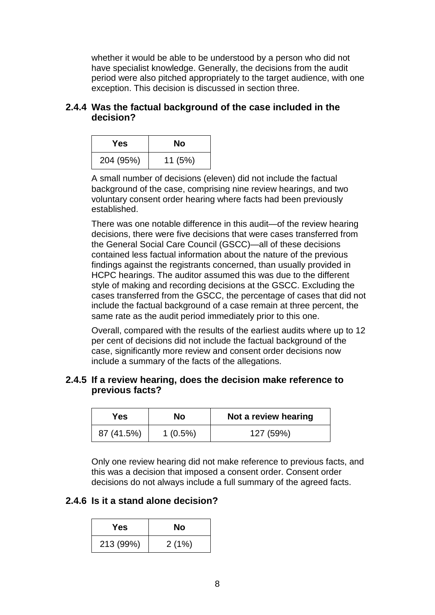whether it would be able to be understood by a person who did not have specialist knowledge. Generally, the decisions from the audit period were also pitched appropriately to the target audience, with one exception. This decision is discussed in section three.

#### **2.4.4 Was the factual background of the case included in the decision?**

| Yes       | No      |
|-----------|---------|
| 204 (95%) | 11 (5%) |

A small number of decisions (eleven) did not include the factual background of the case, comprising nine review hearings, and two voluntary consent order hearing where facts had been previously established.

There was one notable difference in this audit—of the review hearing decisions, there were five decisions that were cases transferred from the General Social Care Council (GSCC)—all of these decisions contained less factual information about the nature of the previous findings against the registrants concerned, than usually provided in HCPC hearings. The auditor assumed this was due to the different style of making and recording decisions at the GSCC. Excluding the cases transferred from the GSCC, the percentage of cases that did not include the factual background of a case remain at three percent, the same rate as the audit period immediately prior to this one.

Overall, compared with the results of the earliest audits where up to 12 per cent of decisions did not include the factual background of the case, significantly more review and consent order decisions now include a summary of the facts of the allegations.

#### **2.4.5 If a review hearing, does the decision make reference to previous facts?**

| Yes        | No         | Not a review hearing |
|------------|------------|----------------------|
| 87 (41.5%) | $1(0.5\%)$ | 127 (59%)            |

Only one review hearing did not make reference to previous facts, and this was a decision that imposed a consent order. Consent order decisions do not always include a full summary of the agreed facts.

#### **2.4.6 Is it a stand alone decision?**

| Yes       | No    |
|-----------|-------|
| 213 (99%) | 2(1%) |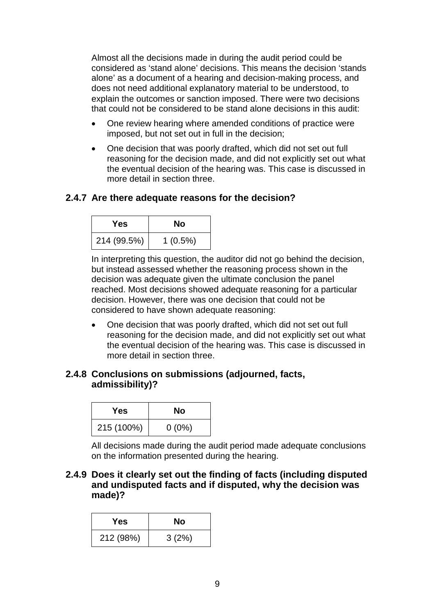Almost all the decisions made in during the audit period could be considered as 'stand alone' decisions. This means the decision 'stands alone' as a document of a hearing and decision-making process, and does not need additional explanatory material to be understood, to explain the outcomes or sanction imposed. There were two decisions that could not be considered to be stand alone decisions in this audit:

- One review hearing where amended conditions of practice were imposed, but not set out in full in the decision;
- One decision that was poorly drafted, which did not set out full reasoning for the decision made, and did not explicitly set out what the eventual decision of the hearing was. This case is discussed in more detail in section three.

#### **2.4.7 Are there adequate reasons for the decision?**

| Yes         | No         |
|-------------|------------|
| 214 (99.5%) | $1(0.5\%)$ |

In interpreting this question, the auditor did not go behind the decision, but instead assessed whether the reasoning process shown in the decision was adequate given the ultimate conclusion the panel reached. Most decisions showed adequate reasoning for a particular decision. However, there was one decision that could not be considered to have shown adequate reasoning:

• One decision that was poorly drafted, which did not set out full reasoning for the decision made, and did not explicitly set out what the eventual decision of the hearing was. This case is discussed in more detail in section three.

#### **2.4.8 Conclusions on submissions (adjourned, facts, admissibility)?**

| Yes        | No       |
|------------|----------|
| 215 (100%) | $0(0\%)$ |

All decisions made during the audit period made adequate conclusions on the information presented during the hearing.

**2.4.9 Does it clearly set out the finding of facts (including disputed and undisputed facts and if disputed, why the decision was made)?**

| Yes       | Nο    |
|-----------|-------|
| 212 (98%) | 3(2%) |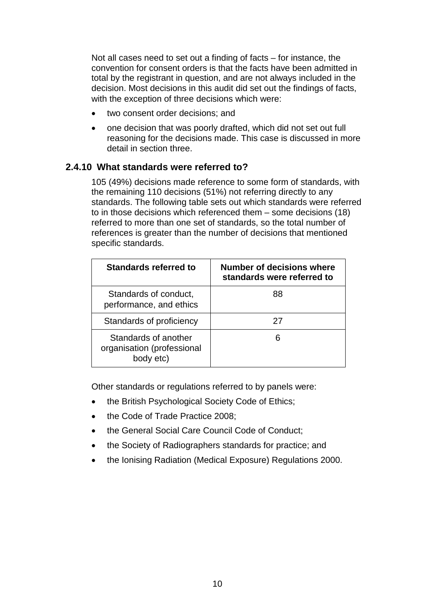Not all cases need to set out a finding of facts – for instance, the convention for consent orders is that the facts have been admitted in total by the registrant in question, and are not always included in the decision. Most decisions in this audit did set out the findings of facts, with the exception of three decisions which were:

- two consent order decisions; and
- one decision that was poorly drafted, which did not set out full reasoning for the decisions made. This case is discussed in more detail in section three.

#### **2.4.10 What standards were referred to?**

105 (49%) decisions made reference to some form of standards, with the remaining 110 decisions (51%) not referring directly to any standards. The following table sets out which standards were referred to in those decisions which referenced them – some decisions (18) referred to more than one set of standards, so the total number of references is greater than the number of decisions that mentioned specific standards.

| Standards referred to                                           | Number of decisions where<br>standards were referred to |
|-----------------------------------------------------------------|---------------------------------------------------------|
| Standards of conduct,<br>performance, and ethics                | 88                                                      |
| Standards of proficiency                                        | 27                                                      |
| Standards of another<br>organisation (professional<br>body etc) |                                                         |

Other standards or regulations referred to by panels were:

- the British Psychological Society Code of Ethics;
- the Code of Trade Practice 2008:
- the General Social Care Council Code of Conduct;
- the Society of Radiographers standards for practice; and
- the Ionising Radiation (Medical Exposure) Regulations 2000.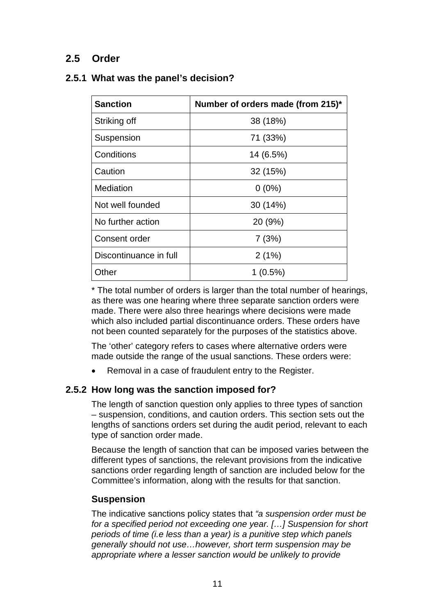## **2.5 Order**

#### **2.5.1 What was the panel's decision?**

| <b>Sanction</b>        | Number of orders made (from 215)* |
|------------------------|-----------------------------------|
| Striking off           | 38 (18%)                          |
| Suspension             | 71 (33%)                          |
| Conditions             | 14 (6.5%)                         |
| Caution                | 32 (15%)                          |
| Mediation              | $0(0\%)$                          |
| Not well founded       | 30 (14%)                          |
| No further action      | 20 (9%)                           |
| Consent order          | 7(3%)                             |
| Discontinuance in full | 2(1%)                             |
| Other                  | $1(0.5\%)$                        |

\* The total number of orders is larger than the total number of hearings, as there was one hearing where three separate sanction orders were made. There were also three hearings where decisions were made which also included partial discontinuance orders. These orders have not been counted separately for the purposes of the statistics above.

The 'other' category refers to cases where alternative orders were made outside the range of the usual sanctions. These orders were:

• Removal in a case of fraudulent entry to the Register.

#### **2.5.2 How long was the sanction imposed for?**

The length of sanction question only applies to three types of sanction – suspension, conditions, and caution orders. This section sets out the lengths of sanctions orders set during the audit period, relevant to each type of sanction order made.

Because the length of sanction that can be imposed varies between the different types of sanctions, the relevant provisions from the indicative sanctions order regarding length of sanction are included below for the Committee's information, along with the results for that sanction.

#### **Suspension**

The indicative sanctions policy states that *"a suspension order must be for a specified period not exceeding one year. […] Suspension for short periods of time (i.e less than a year) is a punitive step which panels generally should not use…however, short term suspension may be appropriate where a lesser sanction would be unlikely to provide*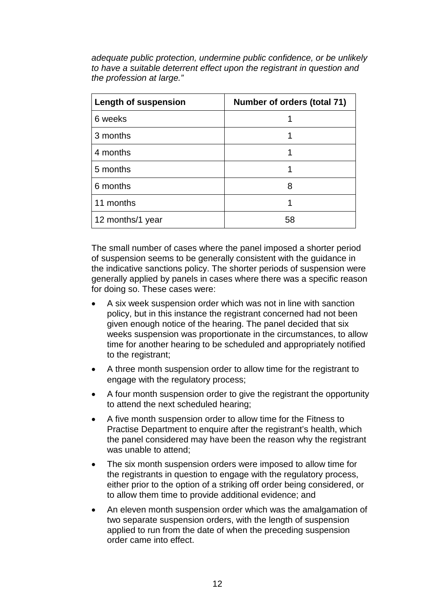*adequate public protection, undermine public confidence, or be unlikely to have a suitable deterrent effect upon the registrant in question and the profession at large."*

| <b>Length of suspension</b> | Number of orders (total 71) |
|-----------------------------|-----------------------------|
| 6 weeks                     |                             |
| 3 months                    |                             |
| 4 months                    |                             |
| 5 months                    |                             |
| 6 months                    | 8                           |
| 11 months                   |                             |
| 12 months/1 year            | 58                          |

The small number of cases where the panel imposed a shorter period of suspension seems to be generally consistent with the guidance in the indicative sanctions policy. The shorter periods of suspension were generally applied by panels in cases where there was a specific reason for doing so. These cases were:

- A six week suspension order which was not in line with sanction policy, but in this instance the registrant concerned had not been given enough notice of the hearing. The panel decided that six weeks suspension was proportionate in the circumstances, to allow time for another hearing to be scheduled and appropriately notified to the registrant;
- A three month suspension order to allow time for the registrant to engage with the regulatory process;
- A four month suspension order to give the registrant the opportunity to attend the next scheduled hearing;
- A five month suspension order to allow time for the Fitness to Practise Department to enquire after the registrant's health, which the panel considered may have been the reason why the registrant was unable to attend;
- The six month suspension orders were imposed to allow time for the registrants in question to engage with the regulatory process, either prior to the option of a striking off order being considered, or to allow them time to provide additional evidence; and
- An eleven month suspension order which was the amalgamation of two separate suspension orders, with the length of suspension applied to run from the date of when the preceding suspension order came into effect.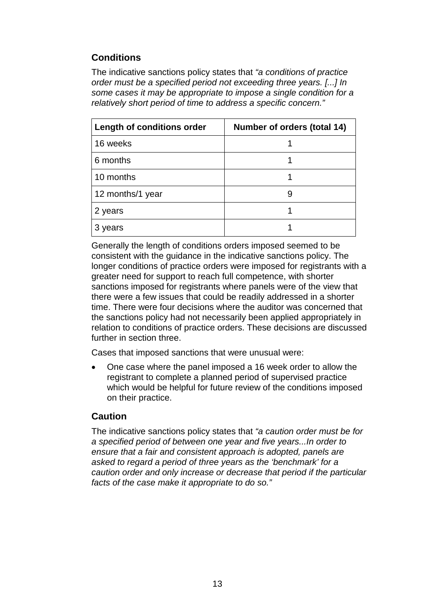## **Conditions**

The indicative sanctions policy states that *"a conditions of practice order must be a specified period not exceeding three years. [...] In some cases it may be appropriate to impose a single condition for a relatively short period of time to address a specific concern."*

| Length of conditions order | Number of orders (total 14) |
|----------------------------|-----------------------------|
| 16 weeks                   |                             |
| 6 months                   |                             |
| 10 months                  |                             |
| 12 months/1 year           |                             |
| 2 years                    |                             |
| years                      |                             |

Generally the length of conditions orders imposed seemed to be consistent with the guidance in the indicative sanctions policy. The longer conditions of practice orders were imposed for registrants with a greater need for support to reach full competence, with shorter sanctions imposed for registrants where panels were of the view that there were a few issues that could be readily addressed in a shorter time. There were four decisions where the auditor was concerned that the sanctions policy had not necessarily been applied appropriately in relation to conditions of practice orders. These decisions are discussed further in section three.

Cases that imposed sanctions that were unusual were:

• One case where the panel imposed a 16 week order to allow the registrant to complete a planned period of supervised practice which would be helpful for future review of the conditions imposed on their practice.

#### **Caution**

The indicative sanctions policy states that *"a caution order must be for a specified period of between one year and five years...In order to ensure that a fair and consistent approach is adopted, panels are asked to regard a period of three years as the 'benchmark' for a caution order and only increase or decrease that period if the particular facts of the case make it appropriate to do so."*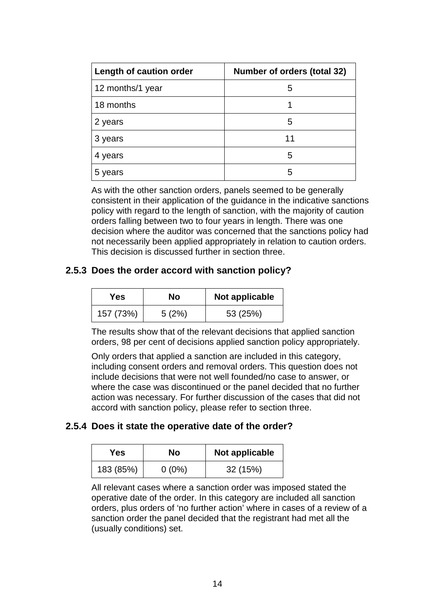| Length of caution order | Number of orders (total 32) |
|-------------------------|-----------------------------|
| 12 months/1 year        | 5                           |
| 18 months               |                             |
| 2 years                 | 5                           |
| 3 years                 | 11                          |
| 4 years                 | 5                           |
| 5 years                 | 5                           |

As with the other sanction orders, panels seemed to be generally consistent in their application of the guidance in the indicative sanctions policy with regard to the length of sanction, with the majority of caution orders falling between two to four years in length. There was one decision where the auditor was concerned that the sanctions policy had not necessarily been applied appropriately in relation to caution orders. This decision is discussed further in section three.

#### **2.5.3 Does the order accord with sanction policy?**

| Yes.      | Nο    | <b>Not applicable</b> |
|-----------|-------|-----------------------|
| 157 (73%) | 5(2%) | 53 (25%)              |

The results show that of the relevant decisions that applied sanction orders, 98 per cent of decisions applied sanction policy appropriately.

Only orders that applied a sanction are included in this category, including consent orders and removal orders. This question does not include decisions that were not well founded/no case to answer, or where the case was discontinued or the panel decided that no further action was necessary. For further discussion of the cases that did not accord with sanction policy, please refer to section three.

#### **2.5.4 Does it state the operative date of the order?**

| Yes       | Nο       | Not applicable |
|-----------|----------|----------------|
| 183 (85%) | $0(0\%)$ | 32(15%)        |

All relevant cases where a sanction order was imposed stated the operative date of the order. In this category are included all sanction orders, plus orders of 'no further action' where in cases of a review of a sanction order the panel decided that the registrant had met all the (usually conditions) set.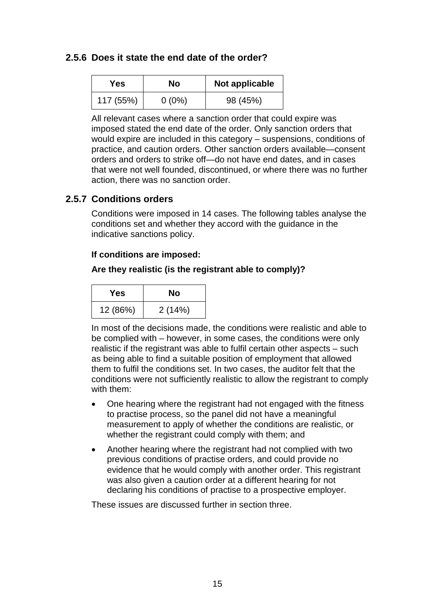#### **2.5.6 Does it state the end date of the order?**

| Yes.      | Nο       | Not applicable |
|-----------|----------|----------------|
| 117 (55%) | $0(0\%)$ | 98 (45%)       |

All relevant cases where a sanction order that could expire was imposed stated the end date of the order. Only sanction orders that would expire are included in this category – suspensions, conditions of practice, and caution orders. Other sanction orders available—consent orders and orders to strike off—do not have end dates, and in cases that were not well founded, discontinued, or where there was no further action, there was no sanction order.

#### **2.5.7 Conditions orders**

Conditions were imposed in 14 cases. The following tables analyse the conditions set and whether they accord with the guidance in the indicative sanctions policy.

#### **If conditions are imposed:**

#### **Are they realistic (is the registrant able to comply)?**

| Yes      | Nο     |
|----------|--------|
| 12 (86%) | 2(14%) |

In most of the decisions made, the conditions were realistic and able to be complied with – however, in some cases, the conditions were only realistic if the registrant was able to fulfil certain other aspects – such as being able to find a suitable position of employment that allowed them to fulfil the conditions set. In two cases, the auditor felt that the conditions were not sufficiently realistic to allow the registrant to comply with them:

- One hearing where the registrant had not engaged with the fitness to practise process, so the panel did not have a meaningful measurement to apply of whether the conditions are realistic, or whether the registrant could comply with them; and
- Another hearing where the registrant had not complied with two previous conditions of practise orders, and could provide no evidence that he would comply with another order. This registrant was also given a caution order at a different hearing for not declaring his conditions of practise to a prospective employer.

These issues are discussed further in section three.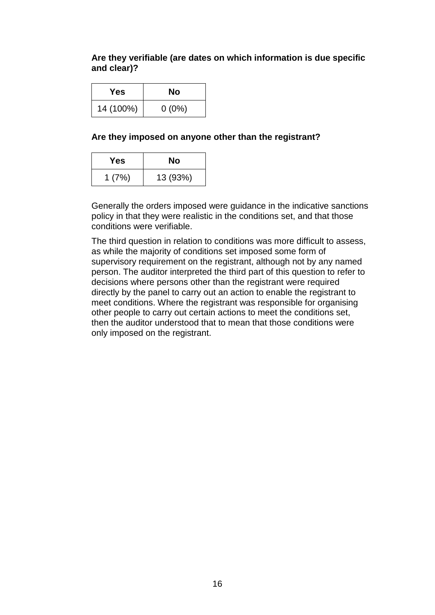#### **Are they verifiable (are dates on which information is due specific and clear)?**

| Yes       | No       |
|-----------|----------|
| 14 (100%) | $0(0\%)$ |

#### **Are they imposed on anyone other than the registrant?**

| Yes   | Nο       |
|-------|----------|
| 1(7%) | 13 (93%) |

Generally the orders imposed were guidance in the indicative sanctions policy in that they were realistic in the conditions set, and that those conditions were verifiable.

The third question in relation to conditions was more difficult to assess, as while the majority of conditions set imposed some form of supervisory requirement on the registrant, although not by any named person. The auditor interpreted the third part of this question to refer to decisions where persons other than the registrant were required directly by the panel to carry out an action to enable the registrant to meet conditions. Where the registrant was responsible for organising other people to carry out certain actions to meet the conditions set, then the auditor understood that to mean that those conditions were only imposed on the registrant.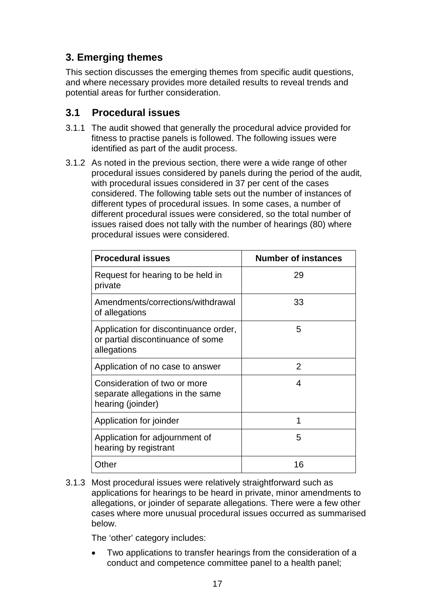## **3. Emerging themes**

This section discusses the emerging themes from specific audit questions, and where necessary provides more detailed results to reveal trends and potential areas for further consideration.

#### **3.1 Procedural issues**

- 3.1.1 The audit showed that generally the procedural advice provided for fitness to practise panels is followed. The following issues were identified as part of the audit process.
- 3.1.2 As noted in the previous section, there were a wide range of other procedural issues considered by panels during the period of the audit, with procedural issues considered in 37 per cent of the cases considered. The following table sets out the number of instances of different types of procedural issues. In some cases, a number of different procedural issues were considered, so the total number of issues raised does not tally with the number of hearings (80) where procedural issues were considered.

| <b>Procedural issues</b>                                                                  | <b>Number of instances</b> |
|-------------------------------------------------------------------------------------------|----------------------------|
| Request for hearing to be held in<br>private                                              | 29                         |
| Amendments/corrections/withdrawal<br>of allegations                                       | 33                         |
| Application for discontinuance order,<br>or partial discontinuance of some<br>allegations | 5                          |
| Application of no case to answer                                                          | 2                          |
| Consideration of two or more<br>separate allegations in the same<br>hearing (joinder)     | 4                          |
| Application for joinder                                                                   | 1                          |
| Application for adjournment of<br>hearing by registrant                                   | 5                          |
| Other                                                                                     | 16                         |

3.1.3 Most procedural issues were relatively straightforward such as applications for hearings to be heard in private, minor amendments to allegations, or joinder of separate allegations. There were a few other cases where more unusual procedural issues occurred as summarised below.

The 'other' category includes:

• Two applications to transfer hearings from the consideration of a conduct and competence committee panel to a health panel;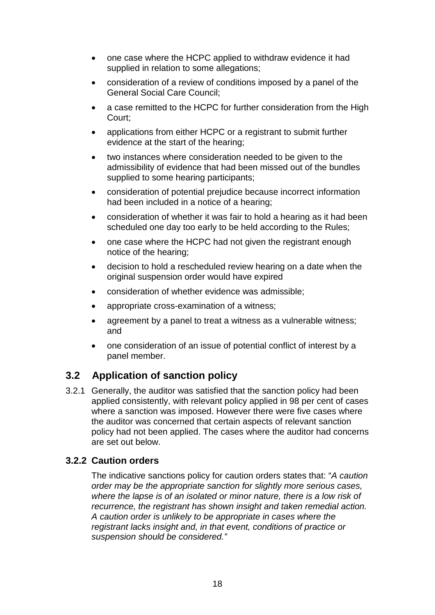- one case where the HCPC applied to withdraw evidence it had supplied in relation to some allegations;
- consideration of a review of conditions imposed by a panel of the General Social Care Council;
- a case remitted to the HCPC for further consideration from the High Court;
- applications from either HCPC or a registrant to submit further evidence at the start of the hearing;
- two instances where consideration needed to be given to the admissibility of evidence that had been missed out of the bundles supplied to some hearing participants;
- consideration of potential prejudice because incorrect information had been included in a notice of a hearing;
- consideration of whether it was fair to hold a hearing as it had been scheduled one day too early to be held according to the Rules;
- one case where the HCPC had not given the registrant enough notice of the hearing;
- decision to hold a rescheduled review hearing on a date when the original suspension order would have expired
- consideration of whether evidence was admissible;
- appropriate cross-examination of a witness;
- agreement by a panel to treat a witness as a vulnerable witness; and
- one consideration of an issue of potential conflict of interest by a panel member.

## **3.2 Application of sanction policy**

3.2.1 Generally, the auditor was satisfied that the sanction policy had been applied consistently, with relevant policy applied in 98 per cent of cases where a sanction was imposed. However there were five cases where the auditor was concerned that certain aspects of relevant sanction policy had not been applied. The cases where the auditor had concerns are set out below.

#### **3.2.2 Caution orders**

The indicative sanctions policy for caution orders states that: "*A caution order may be the appropriate sanction for slightly more serious cases, where the lapse is of an isolated or minor nature, there is a low risk of recurrence, the registrant has shown insight and taken remedial action. A caution order is unlikely to be appropriate in cases where the registrant lacks insight and, in that event, conditions of practice or suspension should be considered."*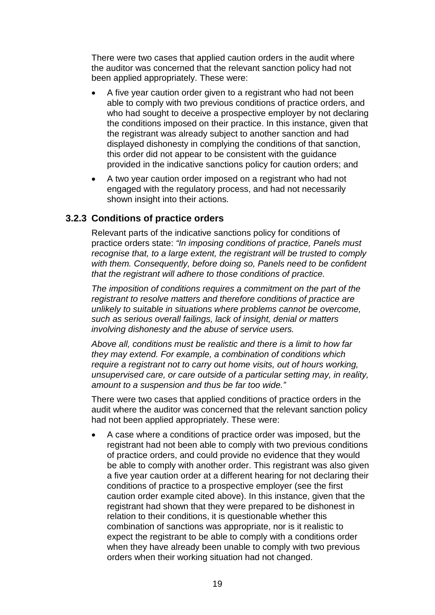There were two cases that applied caution orders in the audit where the auditor was concerned that the relevant sanction policy had not been applied appropriately. These were:

- A five year caution order given to a registrant who had not been able to comply with two previous conditions of practice orders, and who had sought to deceive a prospective employer by not declaring the conditions imposed on their practice. In this instance, given that the registrant was already subject to another sanction and had displayed dishonesty in complying the conditions of that sanction, this order did not appear to be consistent with the guidance provided in the indicative sanctions policy for caution orders; and
- A two year caution order imposed on a registrant who had not engaged with the regulatory process, and had not necessarily shown insight into their actions.

#### **3.2.3 Conditions of practice orders**

Relevant parts of the indicative sanctions policy for conditions of practice orders state: *"In imposing conditions of practice, Panels must recognise that, to a large extent, the registrant will be trusted to comply with them. Consequently, before doing so, Panels need to be confident that the registrant will adhere to those conditions of practice.*

*The imposition of conditions requires a commitment on the part of the registrant to resolve matters and therefore conditions of practice are unlikely to suitable in situations where problems cannot be overcome, such as serious overall failings, lack of insight, denial or matters involving dishonesty and the abuse of service users.*

*Above all, conditions must be realistic and there is a limit to how far they may extend. For example, a combination of conditions which require a registrant not to carry out home visits, out of hours working, unsupervised care, or care outside of a particular setting may, in reality, amount to a suspension and thus be far too wide."*

There were two cases that applied conditions of practice orders in the audit where the auditor was concerned that the relevant sanction policy had not been applied appropriately. These were:

• A case where a conditions of practice order was imposed, but the registrant had not been able to comply with two previous conditions of practice orders, and could provide no evidence that they would be able to comply with another order. This registrant was also given a five year caution order at a different hearing for not declaring their conditions of practice to a prospective employer (see the first caution order example cited above). In this instance, given that the registrant had shown that they were prepared to be dishonest in relation to their conditions, it is questionable whether this combination of sanctions was appropriate, nor is it realistic to expect the registrant to be able to comply with a conditions order when they have already been unable to comply with two previous orders when their working situation had not changed.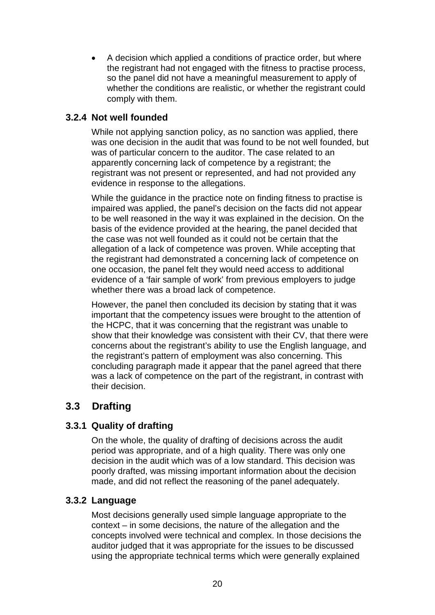• A decision which applied a conditions of practice order, but where the registrant had not engaged with the fitness to practise process, so the panel did not have a meaningful measurement to apply of whether the conditions are realistic, or whether the registrant could comply with them.

#### **3.2.4 Not well founded**

While not applying sanction policy, as no sanction was applied, there was one decision in the audit that was found to be not well founded, but was of particular concern to the auditor. The case related to an apparently concerning lack of competence by a registrant; the registrant was not present or represented, and had not provided any evidence in response to the allegations.

While the guidance in the practice note on finding fitness to practise is impaired was applied, the panel's decision on the facts did not appear to be well reasoned in the way it was explained in the decision. On the basis of the evidence provided at the hearing, the panel decided that the case was not well founded as it could not be certain that the allegation of a lack of competence was proven. While accepting that the registrant had demonstrated a concerning lack of competence on one occasion, the panel felt they would need access to additional evidence of a 'fair sample of work' from previous employers to judge whether there was a broad lack of competence.

However, the panel then concluded its decision by stating that it was important that the competency issues were brought to the attention of the HCPC, that it was concerning that the registrant was unable to show that their knowledge was consistent with their CV, that there were concerns about the registrant's ability to use the English language, and the registrant's pattern of employment was also concerning. This concluding paragraph made it appear that the panel agreed that there was a lack of competence on the part of the registrant, in contrast with their decision.

## **3.3 Drafting**

#### **3.3.1 Quality of drafting**

On the whole, the quality of drafting of decisions across the audit period was appropriate, and of a high quality. There was only one decision in the audit which was of a low standard. This decision was poorly drafted, was missing important information about the decision made, and did not reflect the reasoning of the panel adequately.

#### **3.3.2 Language**

Most decisions generally used simple language appropriate to the context – in some decisions, the nature of the allegation and the concepts involved were technical and complex. In those decisions the auditor judged that it was appropriate for the issues to be discussed using the appropriate technical terms which were generally explained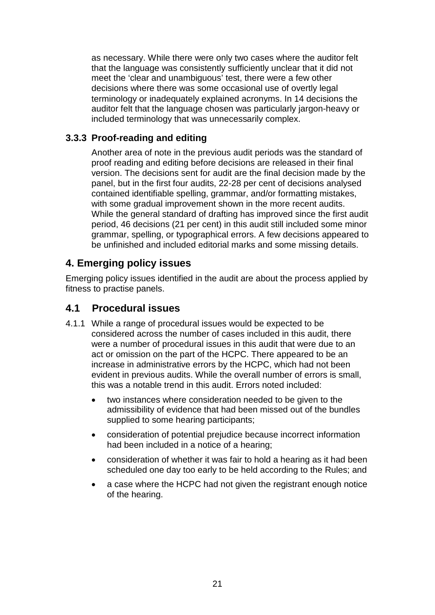as necessary. While there were only two cases where the auditor felt that the language was consistently sufficiently unclear that it did not meet the 'clear and unambiguous' test, there were a few other decisions where there was some occasional use of overtly legal terminology or inadequately explained acronyms. In 14 decisions the auditor felt that the language chosen was particularly jargon-heavy or included terminology that was unnecessarily complex.

#### **3.3.3 Proof-reading and editing**

Another area of note in the previous audit periods was the standard of proof reading and editing before decisions are released in their final version. The decisions sent for audit are the final decision made by the panel, but in the first four audits, 22-28 per cent of decisions analysed contained identifiable spelling, grammar, and/or formatting mistakes, with some gradual improvement shown in the more recent audits. While the general standard of drafting has improved since the first audit period, 46 decisions (21 per cent) in this audit still included some minor grammar, spelling, or typographical errors. A few decisions appeared to be unfinished and included editorial marks and some missing details.

## **4. Emerging policy issues**

Emerging policy issues identified in the audit are about the process applied by fitness to practise panels.

## **4.1 Procedural issues**

- 4.1.1 While a range of procedural issues would be expected to be considered across the number of cases included in this audit, there were a number of procedural issues in this audit that were due to an act or omission on the part of the HCPC. There appeared to be an increase in administrative errors by the HCPC, which had not been evident in previous audits. While the overall number of errors is small, this was a notable trend in this audit. Errors noted included:
	- two instances where consideration needed to be given to the admissibility of evidence that had been missed out of the bundles supplied to some hearing participants;
	- consideration of potential prejudice because incorrect information had been included in a notice of a hearing;
	- consideration of whether it was fair to hold a hearing as it had been scheduled one day too early to be held according to the Rules; and
	- a case where the HCPC had not given the registrant enough notice of the hearing.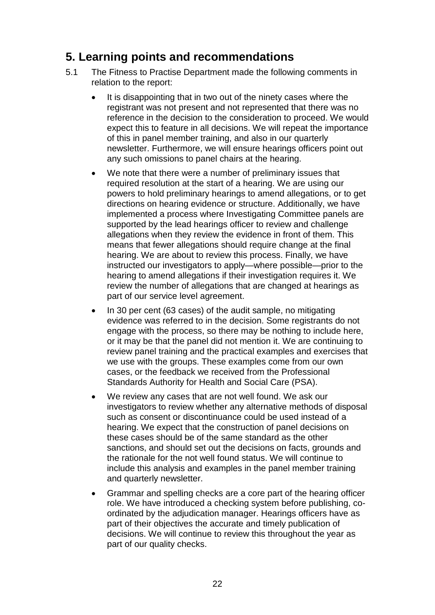## **5. Learning points and recommendations**

- 5.1 The Fitness to Practise Department made the following comments in relation to the report:
	- It is disappointing that in two out of the ninety cases where the registrant was not present and not represented that there was no reference in the decision to the consideration to proceed. We would expect this to feature in all decisions. We will repeat the importance of this in panel member training, and also in our quarterly newsletter. Furthermore, we will ensure hearings officers point out any such omissions to panel chairs at the hearing.
	- We note that there were a number of preliminary issues that required resolution at the start of a hearing. We are using our powers to hold preliminary hearings to amend allegations, or to get directions on hearing evidence or structure. Additionally, we have implemented a process where Investigating Committee panels are supported by the lead hearings officer to review and challenge allegations when they review the evidence in front of them. This means that fewer allegations should require change at the final hearing. We are about to review this process. Finally, we have instructed our investigators to apply—where possible—prior to the hearing to amend allegations if their investigation requires it. We review the number of allegations that are changed at hearings as part of our service level agreement.
	- In 30 per cent (63 cases) of the audit sample, no mitigating evidence was referred to in the decision. Some registrants do not engage with the process, so there may be nothing to include here, or it may be that the panel did not mention it. We are continuing to review panel training and the practical examples and exercises that we use with the groups. These examples come from our own cases, or the feedback we received from the Professional Standards Authority for Health and Social Care (PSA).
	- We review any cases that are not well found. We ask our investigators to review whether any alternative methods of disposal such as consent or discontinuance could be used instead of a hearing. We expect that the construction of panel decisions on these cases should be of the same standard as the other sanctions, and should set out the decisions on facts, grounds and the rationale for the not well found status. We will continue to include this analysis and examples in the panel member training and quarterly newsletter.
	- Grammar and spelling checks are a core part of the hearing officer role. We have introduced a checking system before publishing, coordinated by the adjudication manager. Hearings officers have as part of their objectives the accurate and timely publication of decisions. We will continue to review this throughout the year as part of our quality checks.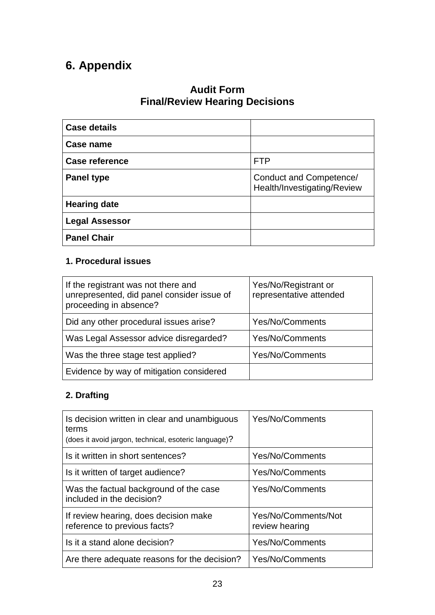## **6. Appendix**

## **Audit Form Final/Review Hearing Decisions**

| <b>Case details</b>   |                                                        |
|-----------------------|--------------------------------------------------------|
| Case name             |                                                        |
| <b>Case reference</b> | <b>FTP</b>                                             |
| <b>Panel type</b>     | Conduct and Competence/<br>Health/Investigating/Review |
| <b>Hearing date</b>   |                                                        |
| <b>Legal Assessor</b> |                                                        |
| <b>Panel Chair</b>    |                                                        |

#### **1. Procedural issues**

| If the registrant was not there and<br>unrepresented, did panel consider issue of<br>proceeding in absence? | Yes/No/Registrant or<br>representative attended |
|-------------------------------------------------------------------------------------------------------------|-------------------------------------------------|
| Did any other procedural issues arise?                                                                      | Yes/No/Comments                                 |
| Was Legal Assessor advice disregarded?                                                                      | Yes/No/Comments                                 |
| Was the three stage test applied?                                                                           | Yes/No/Comments                                 |
| Evidence by way of mitigation considered                                                                    |                                                 |

## **2. Drafting**

| Is decision written in clear and unambiguous<br>terms<br>(does it avoid jargon, technical, esoteric language)? | Yes/No/Comments                       |
|----------------------------------------------------------------------------------------------------------------|---------------------------------------|
| Is it written in short sentences?                                                                              | <b>Yes/No/Comments</b>                |
| Is it written of target audience?                                                                              | <b>Yes/No/Comments</b>                |
| Was the factual background of the case<br>included in the decision?                                            | <b>Yes/No/Comments</b>                |
| If review hearing, does decision make<br>reference to previous facts?                                          | Yes/No/Comments/Not<br>review hearing |
| Is it a stand alone decision?                                                                                  | <b>Yes/No/Comments</b>                |
| Are there adequate reasons for the decision?                                                                   | <b>Yes/No/Comments</b>                |